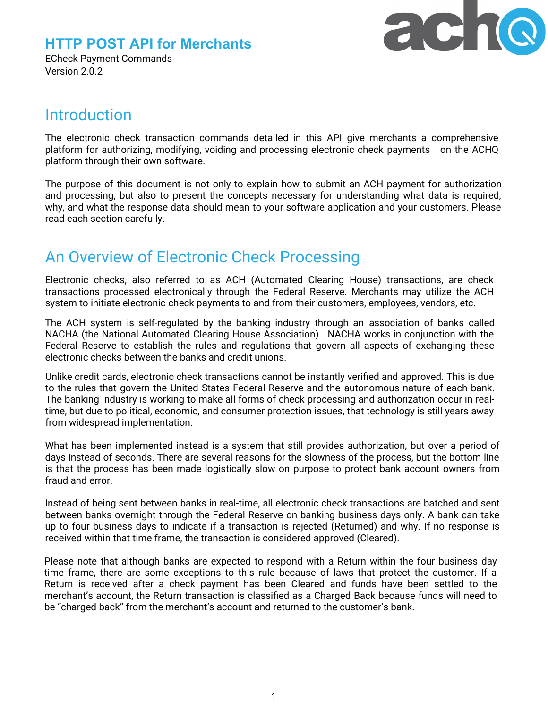



ECheck Payment Commands Version 2.0.2

# **Introduction**

The electronic check transaction commands detailed in this API give merchants a comprehensive platform for authorizing, modifying, voiding and processing electronic check payments on the ACHQ platform through their own software.

The purpose of this document is not only to explain how to submit an ACH payment for authorization and processing, but also to present the concepts necessary for understanding what data is required, why, and what the response data should mean to your software application and your customers. Please read each section carefully.

# An Overview of Electronic Check Processing

Electronic checks, also referred to as ACH (Automated Clearing House) transactions, are check transactions processed electronically through the Federal Reserve. Merchants may utilize the ACH system to initiate electronic check payments to and from their customers, employees, vendors, etc.

The ACH system is self-regulated by the banking industry through an association of banks called NACHA (the National Automated Clearing House Association). NACHA works in conjunction with the Federal Reserve to establish the rules and regulations that govern all aspects of exchanging these electronic checks between the banks and credit unions.

Unlike credit cards, electronic check transactions cannot be instantly verified and approved. This is due to the rules that govern the United States Federal Reserve and the autonomous nature of each bank. The banking industry is working to make all forms of check processing and authorization occur in realtime, but due to political, economic, and consumer protection issues, that technology is still years away from widespread implementation.

What has been implemented instead is a system that still provides authorization, but over a period of days instead of seconds. There are several reasons for the slowness of the process, but the bottom line is that the process has been made logistically slow on purpose to protect bank account owners from fraud and error.

Instead of being sent between banks in real-time, all electronic check transactions are batched and sent between banks overnight through the Federal Reserve on banking business days only. A bank can take up to four business days to indicate if a transaction is rejected (Returned) and why. If no response is received within that time frame, the transaction is considered approved (Cleared).

Please note that although banks are expected to respond with a Return within the four business day time frame, there are some exceptions to this rule because of laws that protect the customer. If a Return is received after a check payment has been Cleared and funds have been settled to the merchant's account, the Return transaction is classified as a Charged Back because funds will need to be "charged back" from the merchant's account and returned to the customer's bank.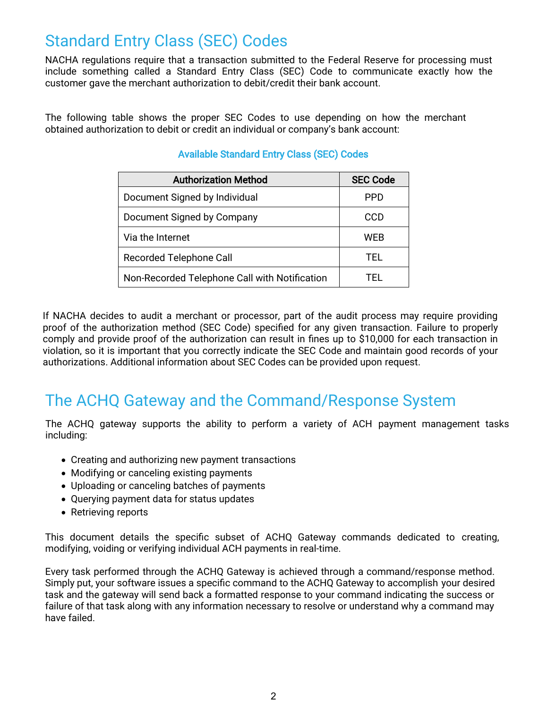# Standard Entry Class (SEC) Codes

NACHA regulations require that a transaction submitted to the Federal Reserve for processing must include something called a Standard Entry Class (SEC) Code to communicate exactly how the customer gave the merchant authorization to debit/credit their bank account.

The following table shows the proper SEC Codes to use depending on how the merchant obtained authorization to debit or credit an individual or company's bank account:

| <b>Authorization Method</b>                   | <b>SEC Code</b> |
|-----------------------------------------------|-----------------|
| Document Signed by Individual                 | PPD             |
| Document Signed by Company                    | CCD             |
| Via the Internet                              | WEB             |
| <b>Recorded Telephone Call</b>                | TFL.            |
| Non-Recorded Telephone Call with Notification | TEL.            |

## Available Standard Entry Class (SEC) Codes

If NACHA decides to audit a merchant or processor, part of the audit process may require providing proof of the authorization method (SEC Code) specified for any given transaction. Failure to properly comply and provide proof of the authorization can result in fines up to \$10,000 for each transaction in violation, so it is important that you correctly indicate the SEC Code and maintain good records of your authorizations. Additional information about SEC Codes can be provided upon request.

# The ACHQ Gateway and the Command/Response System

The ACHQ gateway supports the ability to perform a variety of ACH payment management tasks including:

- Creating and authorizing new payment transactions
- Modifying or canceling existing payments
- Uploading or canceling batches of payments
- Querying payment data for status updates
- Retrieving reports

This document details the specific subset of ACHQ Gateway commands dedicated to creating, modifying, voiding or verifying individual ACH payments in real-time.

Every task performed through the ACHQ Gateway is achieved through a command/response method. Simply put, your software issues a specific command to the ACHQ Gateway to accomplish your desired task and the gateway will send back a formatted response to your command indicating the success or failure of that task along with any information necessary to resolve or understand why a command may have failed.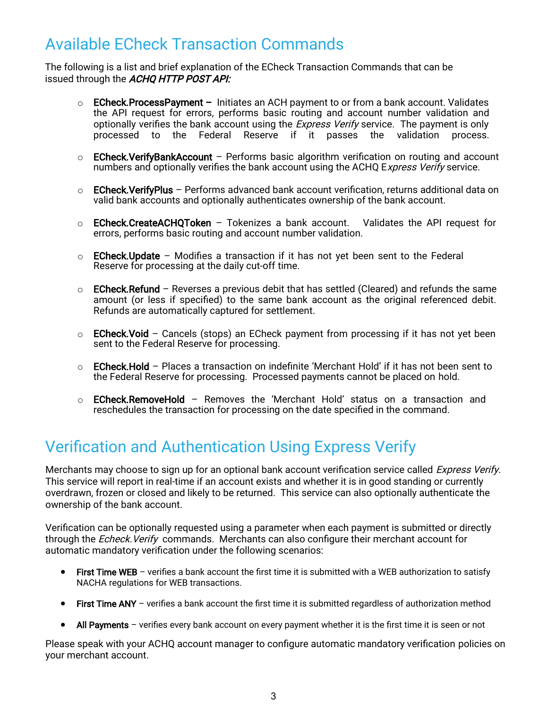# Available ECheck Transaction Commands

The following is a list and brief explanation of the ECheck Transaction Commands that can be issued through the ACHQ HTTP POST API:

- $\circ$  ECheck. Process Payment Initiates an ACH payment to or from a bank account. Validates the API request for errors, performs basic routing and account number validation and optionally verifies the bank account using the *Express Verify* service. The payment is only processed to the Federal Reserve if it passes the validation process.
- $\circ$  ECheck. VerifyBankAccount Performs basic algorithm verification on routing and account numbers and optionally verifies the bank account using the ACHQ Express Verify service.
- $\circ$  ECheck. Verify Plus Performs advanced bank account verification, returns additional data on valid bank accounts and optionally authenticates ownership of the bank account.
- $\circ$  ECheck.CreateACHQToken Tokenizes a bank account. Validates the API request for errors, performs basic routing and account number validation.
- $\circ$  ECheck. Update Modifies a transaction if it has not yet been sent to the Federal Reserve for processing at the daily cut-off time.
- $\circ$  ECheck.Refund Reverses a previous debit that has settled (Cleared) and refunds the same amount (or less if specified) to the same bank account as the original referenced debit. Refunds are automatically captured for settlement.
- o ECheck.Void Cancels (stops) an ECheck payment from processing if it has not yet been sent to the Federal Reserve for processing.
- $\circ$  ECheck.Hold Places a transaction on indefinite 'Merchant Hold' if it has not been sent to the Federal Reserve for processing. Processed payments cannot be placed on hold.
- $\circ$  **ECheck.RemoveHold** Removes the 'Merchant Hold' status on a transaction and reschedules the transaction for processing on the date specified in the command.

# Verification and Authentication Using Express Verify

Merchants may choose to sign up for an optional bank account verification service called *Express Verify*. This service will report in real-time if an account exists and whether it is in good standing or currently overdrawn, frozen or closed and likely to be returned. This service can also optionally authenticate the ownership of the bank account.

Verification can be optionally requested using a parameter when each payment is submitted or directly through the Echeck. Verify commands. Merchants can also configure their merchant account for automatic mandatory verification under the following scenarios:

- First Time WEB verifies a bank account the first time it is submitted with a WEB authorization to satisfy NACHA regulations for WEB transactions.
- First Time ANY verifies a bank account the first time it is submitted regardless of authorization method
- All Payments verifies every bank account on every payment whether it is the first time it is seen or not

Please speak with your ACHQ account manager to configure automatic mandatory verification policies on your merchant account.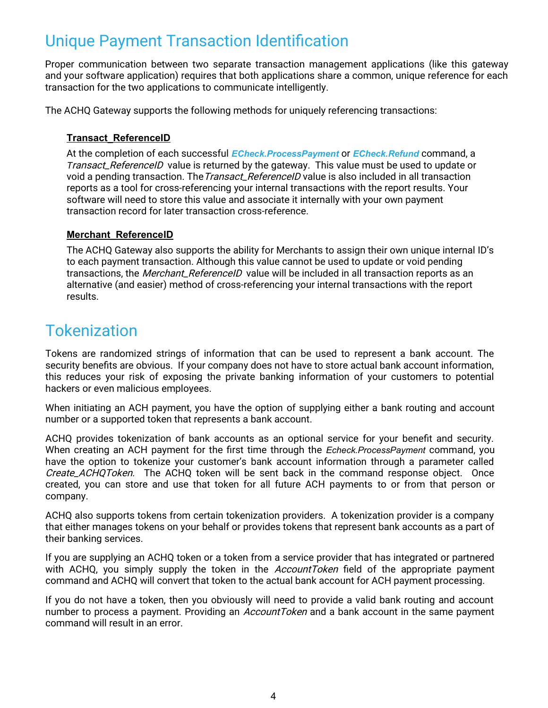# Unique Payment Transaction Identification

Proper communication between two separate transaction management applications (like this gateway and your software application) requires that both applications share a common, unique reference for each transaction for the two applications to communicate intelligently.

The ACHQ Gateway supports the following methods for uniquely referencing transactions:

### **Transact\_ReferenceID**

At the completion of each successful *ECheck.ProcessPayment* or *ECheck.Refund* command, a *T*ransact\_ReferenceID value is returned by the gateway. This value must be used to update or void a pending transaction. The *Transact\_ReferenceID* value is also included in all transaction reports as a tool for cross-referencing your internal transactions with the report results. Your software will need to store this value and associate it internally with your own payment transaction record for later transaction cross-reference.

### **Merchant\_Reference ID**

The ACHQ Gateway also supports the ability for Merchants to assign their own unique internal ID's to each payment transaction. Although this value cannot be used to update or void pending transactions, the Merchant\_ReferenceID value will be included in all transaction reports as an alternative (and easier) method of cross-referencing your internal transactions with the report results.

# Tokenization

Tokens are randomized strings of information that can be used to represent a bank account. The security benefits are obvious. If your company does not have to store actual bank account information, this reduces your risk of exposing the private banking information of your customers to potential hackers or even malicious employees.

When initiating an ACH payment, you have the option of supplying either a bank routing and account number or a supported token that represents a bank account.

ACHQ provides tokenization of bank accounts as an optional service for your benefit and security. When creating an ACH payment for the first time through the *Echeck.ProcessPayment* command, you have the option to tokenize your customer's bank account information through a parameter called Create ACHQToken. The ACHQ token will be sent back in the command response object. Once created, you can store and use that token for all future ACH payments to or from that person or company.

ACHQ also supports tokens from certain tokenization providers. A tokenization provider is a company that either manages tokens on your behalf or provides tokens that represent bank accounts as a part of their banking services.

If you are supplying an ACHQ token or a token from a service provider that has integrated or partnered with ACHQ, you simply supply the token in the *AccountToken* field of the appropriate payment command and ACHQ will convert that token to the actual bank account for ACH payment processing.

If you do not have a token, then you obviously will need to provide a valid bank routing and account number to process a payment. Providing an *AccountToken* and a bank account in the same payment command will result in an error.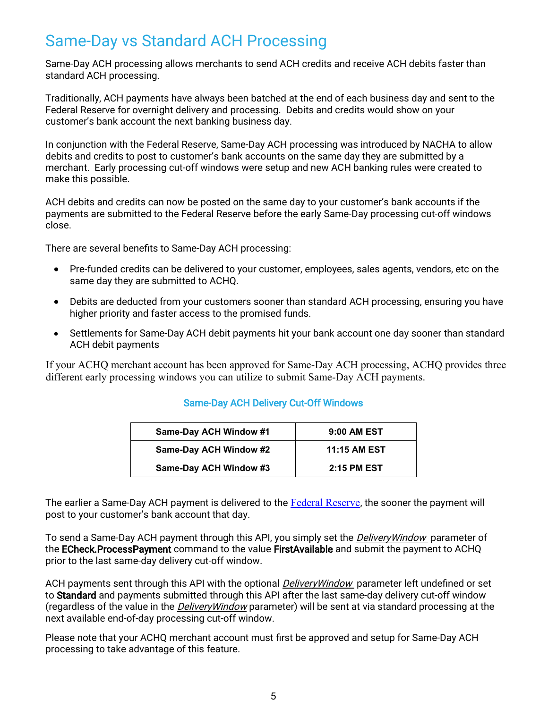# Same-Day vs Standard ACH Processing

Same-Day ACH processing allows merchants to send ACH credits and receive ACH debits faster than standard ACH processing.

Traditionally, ACH payments have always been batched at the end of each business day and sent to the Federal Reserve for overnight delivery and processing. Debits and credits would show on your customer's bank account the next banking business day.

In conjunction with the Federal Reserve, Same-Day ACH processing was introduced by NACHA to allow debits and credits to post to customer's bank accounts on the same day they are submitted by a merchant. Early processing cut-off windows were setup and new ACH banking rules were created to make this possible.

ACH debits and credits can now be posted on the same day to your customer's bank accounts if the payments are submitted to the Federal Reserve before the early Same-Day processing cut-off windows close.

There are several benefits to Same-Day ACH processing:

- Pre-funded credits can be delivered to your customer, employees, sales agents, vendors, etc on the same day they are submitted to ACHQ.
- Debits are deducted from your customers sooner than standard ACH processing, ensuring you have higher priority and faster access to the promised funds.
- Settlements for Same-Day ACH debit payments hit your bank account one day sooner than standard ACH debit payments

If your ACHQ merchant account has been approved for Same-Day ACH processing, ACHQ provides three different early processing windows you can utilize to submit Same-Day ACH payments.

### Same-Day ACH Delivery Cut-Off Windows

| Same-Day ACH Window #1 | 9:00 AM EST         |
|------------------------|---------------------|
| Same-Day ACH Window #2 | <b>11:15 AM EST</b> |
| Same-Day ACH Window #3 | <b>2:15 PM EST</b>  |

The earlier a Same-Day ACH payment is delivered to the [Federal Reserve](https://www.frbservices.org/resources/resource-centers/same-day-ach/fedach-processing-schedule.html), the sooner the payment will post to your customer's bank account that day.

To send a Same-Day ACH payment through this API, you simply set the *DeliveryWindow* parameter of the ECheck.ProcessPayment command to the value FirstAvailable and submit the payment to ACHQ prior to the last same-day delivery cut-off window.

ACH payments sent through this API with the optional *DeliveryWindow* parameter left undefined or set to Standard and payments submitted through this API after the last same-day delivery cut-off window (regardless of the value in the *DeliveryWindow* parameter) will be sent at via standard processing at the next available end-of-day processing cut-off window.

Please note that your ACHQ merchant account must first be approved and setup for Same-Day ACH processing to take advantage of this feature.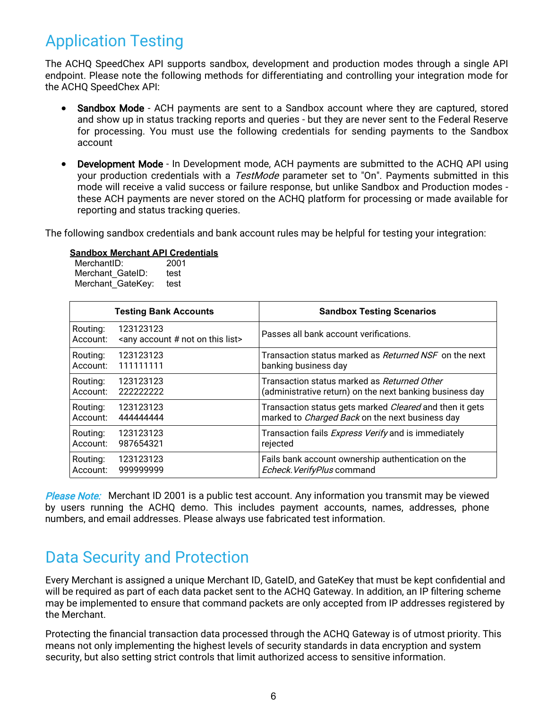# Application Testing

The ACHQ SpeedChex API supports sandbox, development and production modes through a single API endpoint. Please note the following methods for differentiating and controlling your integration mode for the ACHQ SpeedChex API:

- Sandbox Mode ACH payments are sent to a Sandbox account where they are captured, stored and show up in status tracking reports and queries - but they are never sent to the Federal Reserve for processing. You must use the following credentials for sending payments to the Sandbox account
- Development Mode In Development mode, ACH payments are submitted to the ACHQ API using your production credentials with a TestMode parameter set to "On". Payments submitted in this mode will receive a valid success or failure response, but unlike Sandbox and Production modes these ACH payments are never stored on the ACHQ platform for processing or made available for reporting and status tracking queries.

The following sandbox credentials and bank account rules may be helpful for testing your integration:

|                      | <b>Testing Bank Accounts</b>                                          | <b>Sandbox Testing Scenarios</b>                               |
|----------------------|-----------------------------------------------------------------------|----------------------------------------------------------------|
| Routing:<br>Account: | 123123123<br><any #="" account="" list="" not="" on="" this=""></any> | Passes all bank account verifications.                         |
| Routing:             | 123123123                                                             | Transaction status marked as <i>Returned NSF</i> on the next   |
| Account:             | 111111111                                                             | banking business day                                           |
| Routing:             | 123123123                                                             | Transaction status marked as Returned Other                    |
| Account:             | 222222222                                                             | (administrative return) on the next banking business day       |
| Routing:             | 123123123                                                             | Transaction status gets marked <i>Cleared</i> and then it gets |
| Account:             | 444444444                                                             | marked to <i>Charged Back</i> on the next business day         |
| Routing:             | 123123123                                                             | Transaction fails <i>Express Verify</i> and is immediately     |
| Account:             | 987654321                                                             | rejected                                                       |
| Routing:             | 123123123                                                             | Fails bank account ownership authentication on the             |
| Account:             | 999999999                                                             | Echeck. VerifyPlus command                                     |

### **Sandbox Merchant API Credentials**

MerchantID: 2001 Merchant GateID: test

Please Note: Merchant ID 2001 is a public test account. Any information you transmit may be viewed by users running the ACHQ demo. This includes payment accounts, names, addresses, phone numbers, and email addresses. Please always use fabricated test information.

# Data Security and Protection

Every Merchant is assigned a unique Merchant ID, GateID, and GateKey that must be kept confidential and will be required as part of each data packet sent to the ACHQ Gateway. In addition, an IP filtering scheme may be implemented to ensure that command packets are only accepted from IP addresses registered by the Merchant.

Protecting the financial transaction data processed through the ACHQ Gateway is of utmost priority. This means not only implementing the highest levels of security standards in data encryption and system security, but also setting strict controls that limit authorized access to sensitive information.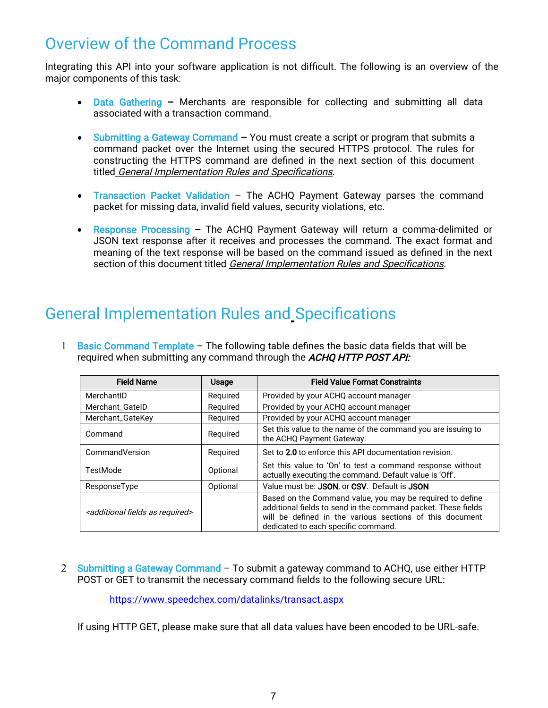# Overview of the Command Process

Integrating this API into your software application is not difficult. The following is an overview of the major components of this task:

- Data Gathering Merchants are responsible for collecting and submitting all data associated with a transaction command.
- Submitting a Gateway Command You must create a script or program that submits a command packet over the Internet using the secured HTTPS protocol. The rules for constructing the HTTPS command are defined in the next section of this document titled General Implementation Rules and Specifications.
- Transaction Packet Validation The ACHQ Payment Gateway parses the command packet for missing data, invalid field values, security violations, etc.
- Response Processing The ACHQ Payment Gateway will return a comma-delimited or JSON text response after it receives and processes the command. The exact format and meaning of the text response will be based on the command issued as defined in the next section of this document titled General Implementation Rules and Specifications.

# General Implementation Rules and Specifications

1 Basic Command Template – The following table defines the basic data fields that will be required when submitting any command through the ACHQ HTTP POST API:

| <b>Field Name</b>                                     | Usage    | <b>Field Value Format Constraints</b>                                                                                                                                                                                         |
|-------------------------------------------------------|----------|-------------------------------------------------------------------------------------------------------------------------------------------------------------------------------------------------------------------------------|
| MerchantID                                            | Required | Provided by your ACHQ account manager                                                                                                                                                                                         |
| <b>Merchant GatelD</b>                                | Required | Provided by your ACHQ account manager                                                                                                                                                                                         |
| Merchant_GateKey                                      | Required | Provided by your ACHQ account manager                                                                                                                                                                                         |
| Command                                               | Required | Set this value to the name of the command you are issuing to<br>the ACHQ Payment Gateway.                                                                                                                                     |
| CommandVersion                                        | Required | Set to 2.0 to enforce this API documentation revision.                                                                                                                                                                        |
| TestMode                                              | Optional | Set this value to 'On' to test a command response without<br>actually executing the command. Default value is 'Off'.                                                                                                          |
| ResponseType                                          | Optional | Value must be: JSON, or CSV. Default is JSON                                                                                                                                                                                  |
| <additional as="" fields="" required=""></additional> |          | Based on the Command value, you may be required to define<br>additional fields to send in the command packet. These fields<br>will be defined in the various sections of this document<br>dedicated to each specific command. |

2 Submitting a Gateway Command – To submit a gateway command to ACHQ, use either HTTP POST or GET to transmit the necessary command fields to the following secure URL:

https:/[/ www.speedchex.com/datalinks/transact.aspx](http://www.speedchex.com/datalinks/transact.aspx)

If using HTTP GET, please make sure that all data values have been encoded to be URL-safe.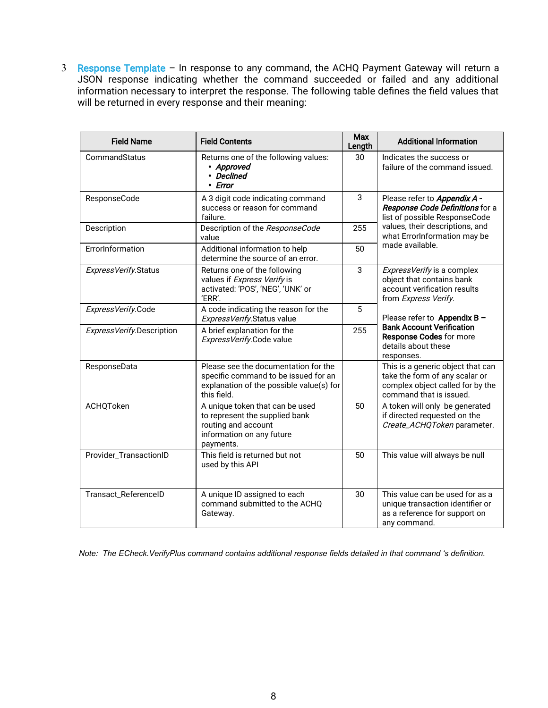3 Response Template – In response to any command, the ACHQ Payment Gateway will return a JSON response indicating whether the command succeeded or failed and any additional information necessary to interpret the response. The following table defines the field values that will be returned in every response and their meaning:

| <b>Field Name</b>         | <b>Field Contents</b>                                                                                                                   |              | <b>Max</b><br><b>Additional Information</b><br>Length                                                                              |  |  |
|---------------------------|-----------------------------------------------------------------------------------------------------------------------------------------|--------------|------------------------------------------------------------------------------------------------------------------------------------|--|--|
| CommandStatus             | Returns one of the following values:<br>• Approved<br>• Declined<br>• Error                                                             | 30           | Indicates the success or<br>failure of the command issued.                                                                         |  |  |
| ResponseCode              | 3<br>A 3 digit code indicating command<br>success or reason for command<br>failure.                                                     |              | Please refer to <b>Appendix A -</b><br>Response Code Definitions for a<br>list of possible ResponseCode                            |  |  |
| Description               | Description of the ResponseCode<br>value                                                                                                | 255          | values, their descriptions, and<br>what ErrorInformation may be                                                                    |  |  |
| ErrorInformation          | Additional information to help<br>determine the source of an error.                                                                     | 50           | made available.                                                                                                                    |  |  |
| ExpressVerify.Status      | Returns one of the following<br>values if Express Verify is<br>activated: 'POS', 'NEG', 'UNK' or<br>'ERR'.                              | $\mathbf{3}$ | ExpressVerify is a complex<br>object that contains bank<br>account verification results<br>from Express Verify.                    |  |  |
| ExpressVerify.Code        | A code indicating the reason for the<br>ExpressVerify.Status value                                                                      | 5            | Please refer to Appendix B -                                                                                                       |  |  |
| ExpressVerify.Description | A brief explanation for the<br>ExpressVerify.Code value                                                                                 | 255          | <b>Bank Account Verification</b><br><b>Response Codes for more</b><br>details about these<br>responses.                            |  |  |
| ResponseData              | Please see the documentation for the<br>specific command to be issued for an<br>explanation of the possible value(s) for<br>this field. |              | This is a generic object that can<br>take the form of any scalar or<br>complex object called for by the<br>command that is issued. |  |  |
| ACHQToken                 | A unique token that can be used<br>to represent the supplied bank<br>routing and account<br>information on any future<br>payments.      | 50           | A token will only be generated<br>if directed requested on the<br>Create_ACHQToken parameter.                                      |  |  |
| Provider_TransactionID    | This field is returned but not<br>used by this API                                                                                      | 50           | This value will always be null                                                                                                     |  |  |
| Transact_ReferenceID      | A unique ID assigned to each<br>command submitted to the ACHQ<br>Gateway.                                                               | 30           | This value can be used for as a<br>unique transaction identifier or<br>as a reference for support on<br>any command.               |  |  |

 *Note: The ECheck.VerifyPlus command contains additional response fields detailed in that command 's definition.*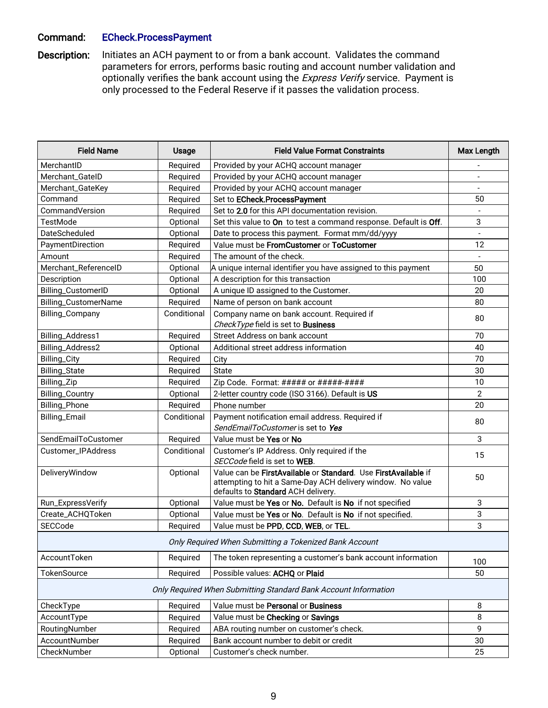### Command: ECheck.ProcessPayment

Description: Initiates an ACH payment to or from a bank account. Validates the command parameters for errors, performs basic routing and account number validation and optionally verifies the bank account using the Express Verify service. Payment is only processed to the Federal Reserve if it passes the validation process.

| <b>Field Name</b>      | <b>Usage</b> | <b>Field Value Format Constraints</b>                                                                                                                              | Max Length     |
|------------------------|--------------|--------------------------------------------------------------------------------------------------------------------------------------------------------------------|----------------|
| MerchantID             | Required     | Provided by your ACHQ account manager                                                                                                                              |                |
| Merchant_GateID        | Required     | Provided by your ACHQ account manager                                                                                                                              |                |
| Merchant_GateKey       | Required     | Provided by your ACHQ account manager                                                                                                                              |                |
| Command                | Required     | Set to ECheck.ProcessPayment                                                                                                                                       | 50             |
| CommandVersion         | Required     | Set to 2.0 for this API documentation revision.                                                                                                                    |                |
| TestMode               | Optional     | Set this value to On to test a command response. Default is Off.                                                                                                   | 3              |
| DateScheduled          | Optional     | Date to process this payment. Format mm/dd/yyyy                                                                                                                    |                |
| PaymentDirection       | Required     | Value must be FromCustomer or ToCustomer                                                                                                                           | 12             |
| Amount                 | Required     | The amount of the check.                                                                                                                                           |                |
| Merchant_ReferenceID   | Optional     | $\bm{\mathsf{A}}$ unique internal identifier you have assigned to this payment                                                                                     | 50             |
| Description            | Optional     | A description for this transaction                                                                                                                                 | 100            |
| Billing_CustomerID     | Optional     | A unique ID assigned to the Customer.                                                                                                                              | 20             |
| Billing_CustomerName   | Required     | Name of person on bank account                                                                                                                                     | 80             |
| Billing_Company        | Conditional  | Company name on bank account. Required if                                                                                                                          | 80             |
|                        |              | CheckType field is set to Business                                                                                                                                 |                |
| Billing_Address1       | Required     | Street Address on bank account                                                                                                                                     | 70             |
| Billing_Address2       | Optional     | Additional street address information                                                                                                                              | 40             |
| Billing_City           | Required     | City                                                                                                                                                               | 70             |
| Billing_State          | Required     | <b>State</b>                                                                                                                                                       | 30             |
| Billing_Zip            | Required     | Zip Code. Format: ##### or #####+####                                                                                                                              | 10             |
| <b>Billing_Country</b> | Optional     | 2-letter country code (ISO 3166). Default is US                                                                                                                    | $\overline{2}$ |
| Billing_Phone          | Required     | Phone number                                                                                                                                                       | 20             |
| Billing_Email          | Conditional  | Payment notification email address. Required if                                                                                                                    | 80             |
|                        |              | SendEmailToCustomer is set to Yes                                                                                                                                  |                |
| SendEmailToCustomer    | Required     | Value must be Yes or No                                                                                                                                            | 3              |
| Customer_IPAddress     | Conditional  | Customer's IP Address. Only required if the                                                                                                                        | 15             |
|                        |              | SECCode field is set to WEB.                                                                                                                                       |                |
| DeliveryWindow         | Optional     | Value can be FirstAvailable or Standard. Use FirstAvailable if<br>attempting to hit a Same-Day ACH delivery window. No value<br>defaults to Standard ACH delivery. | 50             |
| Run_ExpressVerify      | Optional     | Value must be Yes or No. Default is No if not specified                                                                                                            | 3              |
| Create_ACHQToken       | Optional     | Value must be Yes or No. Default is No if not specified.                                                                                                           | 3              |
| SECCode                | Required     | Value must be PPD, CCD, WEB, or TEL.                                                                                                                               | 3              |
|                        |              | Only Required When Submitting a Tokenized Bank Account                                                                                                             |                |
| AccountToken           | Required     | The token representing a customer's bank account information                                                                                                       | 100            |
| TokenSource            | Required     | Possible values: ACHQ or Plaid                                                                                                                                     | 50             |
|                        |              | Only Required When Submitting Standard Bank Account Information                                                                                                    |                |
| CheckType              | Required     | Value must be Personal or Business                                                                                                                                 | 8              |
| AccountType            | Required     | Value must be Checking or Savings                                                                                                                                  | 8              |
| RoutingNumber          | Required     | ABA routing number on customer's check.                                                                                                                            | 9              |
| AccountNumber          | Required     | Bank account number to debit or credit                                                                                                                             | 30             |
| CheckNumber            | Optional     | Customer's check number.                                                                                                                                           | 25             |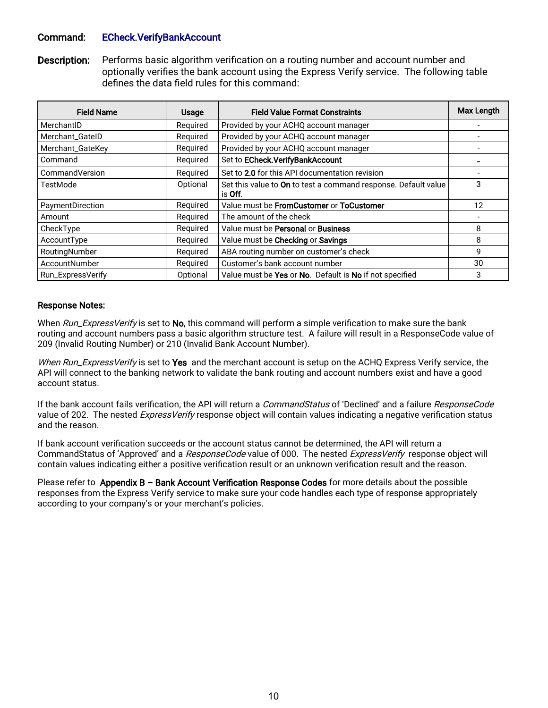### Command: ECheck.VerifyBankAccount

Description: Performs basic algorithm verification on a routing number and account number and optionally verifies the bank account using the Express Verify service. The following table defines the data field rules for this command:

| <b>Field Name</b> | <b>Usage</b> | <b>Field Value Format Constraints</b>                                             | <b>Max Length</b> |
|-------------------|--------------|-----------------------------------------------------------------------------------|-------------------|
| MerchantID        | Required     | Provided by your ACHQ account manager                                             |                   |
| Merchant_GateID   | Required     | Provided by your ACHQ account manager                                             |                   |
| Merchant_GateKey  | Required     | Provided by your ACHQ account manager                                             |                   |
| Command           | Required     | Set to ECheck. Verify Bank Account                                                |                   |
| CommandVersion    | Required     | Set to 2.0 for this API documentation revision                                    |                   |
| TestMode          | Optional     | Set this value to On to test a command response. Default value<br>is <b>Off</b> . | 3                 |
| PaymentDirection  | Required     | Value must be FromCustomer or ToCustomer                                          | 12                |
| Amount            | Required     | The amount of the check                                                           |                   |
| CheckType         | Required     | Value must be Personal or Business                                                | 8                 |
| AccountType       | Required     | Value must be Checking or Savings                                                 | 8                 |
| RoutingNumber     | Required     | ABA routing number on customer's check                                            | 9                 |
| AccountNumber     | Required     | Customer's bank account number                                                    | 30                |
| Run_ExpressVerify | Optional     | Value must be Yes or No. Default is No if not specified                           | 3                 |

#### Response Notes:

When Run\_ExpressVerify is set to No, this command will perform a simple verification to make sure the bank routing and account numbers pass a basic algorithm structure test. A failure will result in a ResponseCode value of 209 (Invalid Routing Number) or 210 (Invalid Bank Account Number).

When Run\_ExpressVerify is set to Yes and the merchant account is setup on the ACHQ Express Verify service, the API will connect to the banking network to validate the bank routing and account numbers exist and have a good account status.

If the bank account fails verification, the API will return a *CommandStatus* of 'Declined' and a failure ResponseCode value of 202. The nested *ExpressVerify* response object will contain values indicating a negative verification status and the reason.

If bank account verification succeeds or the account status cannot be determined, the API will return a CommandStatus of 'Approved' and a ResponseCode value of 000. The nested ExpressVerify response object will contain values indicating either a positive verification result or an unknown verification result and the reason.

Please refer to Appendix B - Bank Account Verification Response Codes for more details about the possible responses from the Express Verify service to make sure your code handles each type of response appropriately according to your company's or your merchant's policies.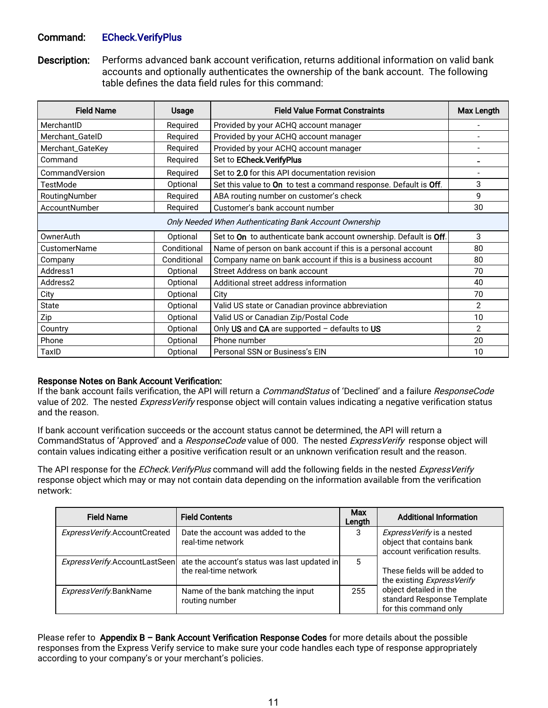### Command: ECheck.VerifyPlus

Description: Performs advanced bank account verification, returns additional information on valid bank accounts and optionally authenticates the ownership of the bank account. The following table defines the data field rules for this command:

| <b>Field Name</b>   | <b>Usage</b> | <b>Field Value Format Constraints</b>                             | Max Length     |
|---------------------|--------------|-------------------------------------------------------------------|----------------|
| MerchantID          | Required     | Provided by your ACHQ account manager                             |                |
| Merchant_GateID     | Required     | Provided by your ACHQ account manager                             |                |
| Merchant_GateKey    | Required     | Provided by your ACHQ account manager                             |                |
| Command             | Required     | Set to ECheck. Verify Plus                                        |                |
| CommandVersion      | Required     | Set to 2.0 for this API documentation revision                    |                |
| TestMode            | Optional     | Set this value to On to test a command response. Default is Off.  | 3              |
| RoutingNumber       | Required     | ABA routing number on customer's check                            | 9              |
| AccountNumber       | Required     | Customer's bank account number                                    | 30             |
|                     |              | Only Needed When Authenticating Bank Account Ownership            |                |
| OwnerAuth           | Optional     | Set to On to authenticate bank account ownership. Default is Off. | 3              |
| <b>CustomerName</b> | Conditional  | Name of person on bank account if this is a personal account      | 80             |
| Company             | Conditional  | Company name on bank account if this is a business account        | 80             |
| Address1            | Optional     | Street Address on bank account                                    | 70             |
| Address2            | Optional     | Additional street address information                             | 40             |
| City                | Optional     | City                                                              | 70             |
| <b>State</b>        | Optional     | Valid US state or Canadian province abbreviation                  | $\overline{2}$ |
| Zip                 | Optional     | Valid US or Canadian Zip/Postal Code                              | 10             |
| Country             | Optional     | Only US and CA are supported - defaults to US                     | $\overline{2}$ |
| Phone               | Optional     | Phone number                                                      | 20             |
| TaxID               | Optional     | Personal SSN or Business's EIN                                    | 10             |

#### Response Notes on Bank Account Verification:

If the bank account fails verification, the API will return a *CommandStatus* of 'Declined' and a failure *ResponseCode* value of 202. The nested ExpressVerify response object will contain values indicating a negative verification status and the reason.

If bank account verification succeeds or the account status cannot be determined, the API will return a CommandStatus of 'Approved' and a ResponseCode value of 000. The nested ExpressVerify response object will contain values indicating either a positive verification result or an unknown verification result and the reason.

The API response for the ECheck. VerifyPlus command will add the following fields in the nested ExpressVerify response object which may or may not contain data depending on the information available from the verification network:

| <b>Field Name</b>             | <b>Field Contents</b>                                                 | Max<br>Length | <b>Additional Information</b>                                                           |
|-------------------------------|-----------------------------------------------------------------------|---------------|-----------------------------------------------------------------------------------------|
| ExpressVerify.AccountCreated  | Date the account was added to the<br>real-time network                | 3             | ExpressVerify is a nested<br>object that contains bank<br>account verification results. |
| ExpressVerify.AccountLastSeen | ate the account's status was last updated in<br>the real-time network | 5             | These fields will be added to<br>the existing ExpressVerify                             |
| ExpressVerify.BankName        | Name of the bank matching the input<br>routing number                 | 255           | object detailed in the<br>standard Response Template<br>for this command only           |

Please refer to Appendix B – Bank Account Verification Response Codes for more details about the possible responses from the Express Verify service to make sure your code handles each type of response appropriately according to your company's or your merchant's policies.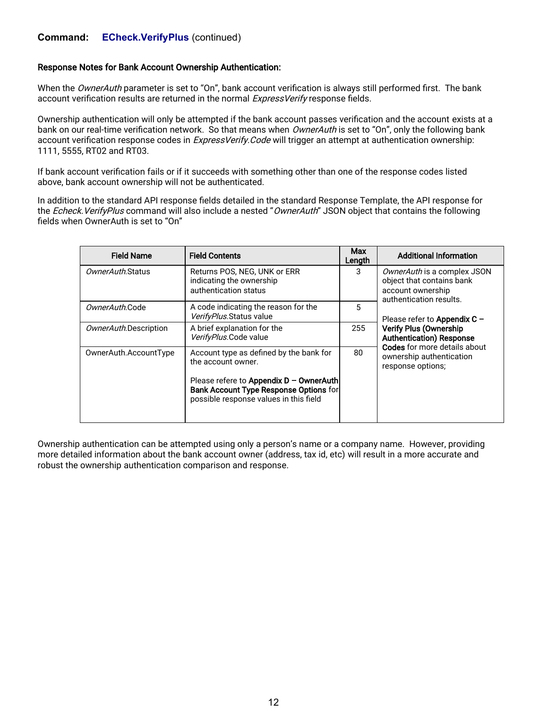### **Command: ECheck.VerifyPlus** (continued)

#### Response Notes for Bank Account Ownership Authentication:

When the OwnerAuth parameter is set to "On", bank account verification is always still performed first. The bank account verification results are returned in the normal ExpressVerify response fields.

Ownership authentication will only be attempted if the bank account passes verification and the account exists at a bank on our real-time verification network. So that means when OwnerAuth is set to "On", only the following bank account verification response codes in ExpressVerify. Code will trigger an attempt at authentication ownership: 1111, 5555, RT02 and RT03.

If bank account verification fails or if it succeeds with something other than one of the response codes listed above, bank account ownership will not be authenticated.

In addition to the standard API response fields detailed in the standard Response Template, the API response for the Echeck. VerifyPlus command will also include a nested "OwnerAuth" JSON object that contains the following fields when OwnerAuth is set to "On"

| <b>Field Name</b>     | <b>Field Contents</b>                                                                                                         | Max<br>Length | <b>Additional Information</b>                                                                            |
|-----------------------|-------------------------------------------------------------------------------------------------------------------------------|---------------|----------------------------------------------------------------------------------------------------------|
| OwnerAuth.Status      | Returns POS, NEG, UNK or ERR<br>indicating the ownership<br>authentication status                                             | 3             | OwnerAuth is a complex JSON<br>object that contains bank<br>account ownership<br>authentication results. |
| OwnerAuth.Code        | A code indicating the reason for the<br>VerifyPlus.Status value                                                               | 5             | Please refer to Appendix $C -$                                                                           |
| OwnerAuth.Description | A brief explanation for the<br>VerifyPlus.Code value                                                                          | 255           | <b>Verify Plus (Ownership</b><br><b>Authentication) Response</b><br><b>Codes</b> for more details about  |
| OwnerAuth.AccountType | Account type as defined by the bank for<br>the account owner.                                                                 |               | ownership authentication<br>response options;                                                            |
|                       | Please refere to Appendix $D -$ OwnerAuth<br>Bank Account Type Response Options for<br>possible response values in this field |               |                                                                                                          |

Ownership authentication can be attempted using only a person's name or a company name. However, providing more detailed information about the bank account owner (address, tax id, etc) will result in a more accurate and robust the ownership authentication comparison and response.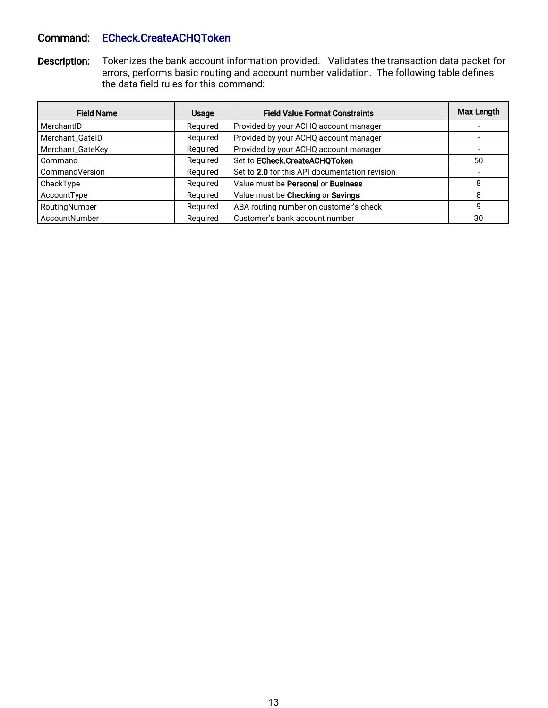## Command: ECheck.CreateACHQToken

Description: Tokenizes the bank account information provided. Validates the transaction data packet for errors, performs basic routing and account number validation. The following table defines the data field rules for this command:

| <b>Field Name</b> | <b>Usage</b> | <b>Field Value Format Constraints</b>          | Max Length |
|-------------------|--------------|------------------------------------------------|------------|
| MerchantID        | Required     | Provided by your ACHQ account manager          |            |
| Merchant_GateID   | Required     | Provided by your ACHQ account manager          |            |
| Merchant_GateKey  | Required     | Provided by your ACHQ account manager          |            |
| Command           | Required     | Set to ECheck.CreateACHQToken                  | 50         |
| CommandVersion    | Required     | Set to 2.0 for this API documentation revision |            |
| CheckType         | Required     | Value must be Personal or Business             | 8          |
| AccountType       | Required     | Value must be Checking or Savings              | 8          |
| RoutingNumber     | Required     | ABA routing number on customer's check         | 9          |
| AccountNumber     | Required     | Customer's bank account number                 | 30         |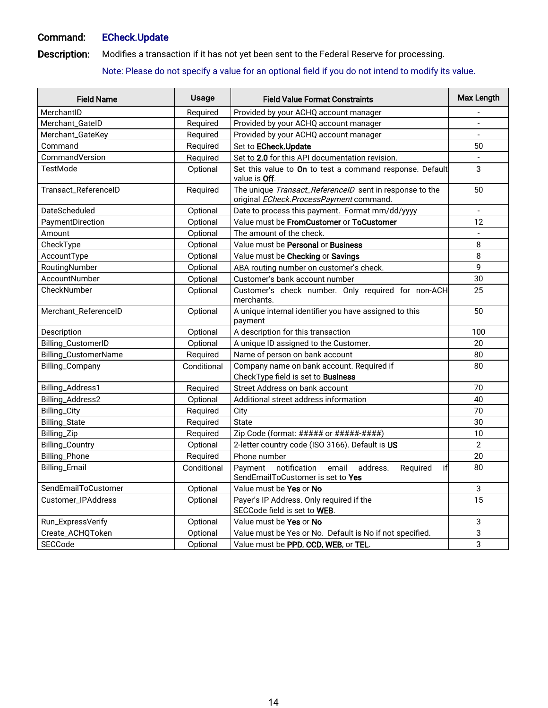## Command: ECheck.Update

Description: Modifies a transaction if it has not yet been sent to the Federal Reserve for processing.

Note: Please do not specify a value for an optional field if you do not intend to modify its value.

| <b>Field Name</b>         | <b>Usage</b> | <b>Field Value Format Constraints</b>                                                               | Max Length               |
|---------------------------|--------------|-----------------------------------------------------------------------------------------------------|--------------------------|
| MerchantID                | Required     | Provided by your ACHQ account manager                                                               |                          |
| Merchant_GateID           | Required     | Provided by your ACHQ account manager                                                               | $\overline{\phantom{a}}$ |
| Merchant_GateKey          | Required     | Provided by your ACHQ account manager                                                               |                          |
| Command                   | Required     | Set to ECheck.Update                                                                                | 50                       |
| CommandVersion            | Required     | Set to 2.0 for this API documentation revision.                                                     |                          |
| <b>TestMode</b>           | Optional     | Set this value to On to test a command response. Default<br>value is Off.                           | 3                        |
| Transact_ReferenceID      | Required     | The unique Transact_ReferencelD sent in response to the<br>original ECheck.ProcessPayment command.  | 50                       |
| DateScheduled             | Optional     | Date to process this payment. Format mm/dd/yyyy                                                     |                          |
| PaymentDirection          | Optional     | Value must be FromCustomer or ToCustomer                                                            | 12                       |
| Amount                    | Optional     | The amount of the check.                                                                            |                          |
| CheckType                 | Optional     | Value must be Personal or Business                                                                  | 8                        |
| AccountType               | Optional     | Value must be Checking or Savings                                                                   | $\,8\,$                  |
| RoutingNumber             | Optional     | ABA routing number on customer's check.                                                             | q                        |
| AccountNumber             | Optional     | Customer's bank account number                                                                      | 30                       |
| CheckNumber               | Optional     | Customer's check number. Only required for non-ACH<br>merchants.                                    | 25                       |
| Merchant_ReferenceID      | Optional     | A unique internal identifier you have assigned to this<br>payment                                   | 50                       |
| Description               | Optional     | A description for this transaction                                                                  | 100                      |
| Billing_CustomerID        | Optional     | A unique ID assigned to the Customer.                                                               | 20                       |
| Billing_CustomerName      | Required     | Name of person on bank account                                                                      | 80                       |
| Billing_Company           | Conditional  | Company name on bank account. Required if<br>CheckType field is set to <b>Business</b>              | 80                       |
| Billing_Address1          | Required     | Street Address on bank account                                                                      | 70                       |
| Billing_Address2          | Optional     | Additional street address information                                                               | 40                       |
| Billing_City              | Required     | City                                                                                                | 70                       |
| Billing_State             | Required     | <b>State</b>                                                                                        | 30                       |
| Billing_Zip               | Required     | Zip Code (format: ##### or #####+####)                                                              | 10                       |
| <b>Billing_Country</b>    | Optional     | 2-letter country code (ISO 3166). Default is US                                                     | $\overline{2}$           |
| Billing_Phone             | Required     | Phone number                                                                                        | 20                       |
| Billing_Email             | Conditional  | Payment<br>email<br>notification<br>if<br>address.<br>Required<br>SendEmailToCustomer is set to Yes | 80                       |
| SendEmailToCustomer       | Optional     | Value must be Yes or No                                                                             | 3                        |
| <b>Customer IPAddress</b> | Optional     | Payer's IP Address. Only required if the<br>SECCode field is set to WEB.                            | 15                       |
| Run_ExpressVerify         | Optional     | Value must be Yes or No                                                                             | 3                        |
| Create_ACHQToken          | Optional     | Value must be Yes or No. Default is No if not specified.                                            | 3                        |
| SECCode                   | Optional     | Value must be PPD, CCD, WEB, or TEL.                                                                | 3                        |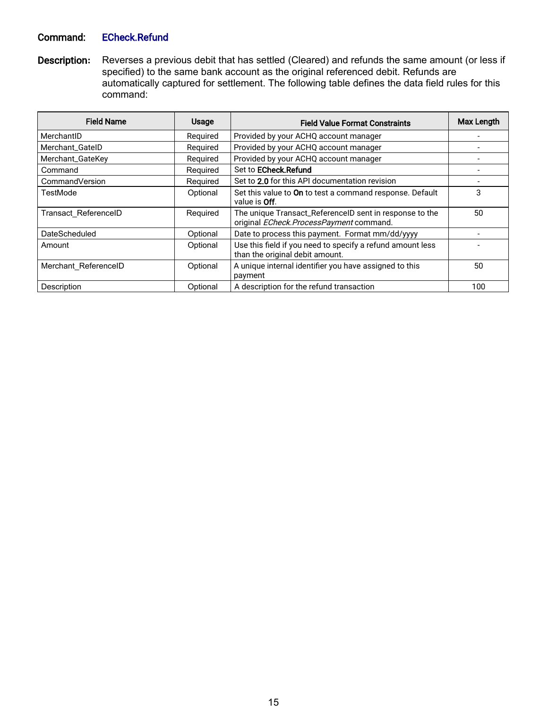### Command: ECheck.Refund

Description**:** Reverses a previous debit that has settled (Cleared) and refunds the same amount (or less if specified) to the same bank account as the original referenced debit. Refunds are automatically captured for settlement. The following table defines the data field rules for this command:

| <b>Field Name</b>    | <b>Usage</b>                                                                  | <b>Field Value Format Constraints</b>                                                              | Max Length |
|----------------------|-------------------------------------------------------------------------------|----------------------------------------------------------------------------------------------------|------------|
| MerchantID           | Required                                                                      | Provided by your ACHQ account manager                                                              |            |
| Merchant_GateID      | Required                                                                      | Provided by your ACHQ account manager                                                              |            |
| Merchant_GateKey     | Required                                                                      | Provided by your ACHQ account manager                                                              |            |
| Command              | Required                                                                      | Set to ECheck.Refund                                                                               |            |
| CommandVersion       | Required                                                                      | Set to 2.0 for this API documentation revision                                                     |            |
| TestMode             | Optional                                                                      | Set this value to On to test a command response. Default<br>value is Off.                          | 3          |
| Transact ReferenceID | Required                                                                      | The unique Transact_ReferenceID sent in response to the<br>original ECheck.ProcessPayment command. | 50         |
| <b>DateScheduled</b> | Optional                                                                      | Date to process this payment. Format mm/dd/yyyy                                                    |            |
| Optional<br>Amount   |                                                                               | Use this field if you need to specify a refund amount less<br>than the original debit amount.      |            |
| Merchant ReferenceID | A unique internal identifier you have assigned to this<br>Optional<br>payment |                                                                                                    | 50         |
| Description          | Optional                                                                      | A description for the refund transaction                                                           | 100        |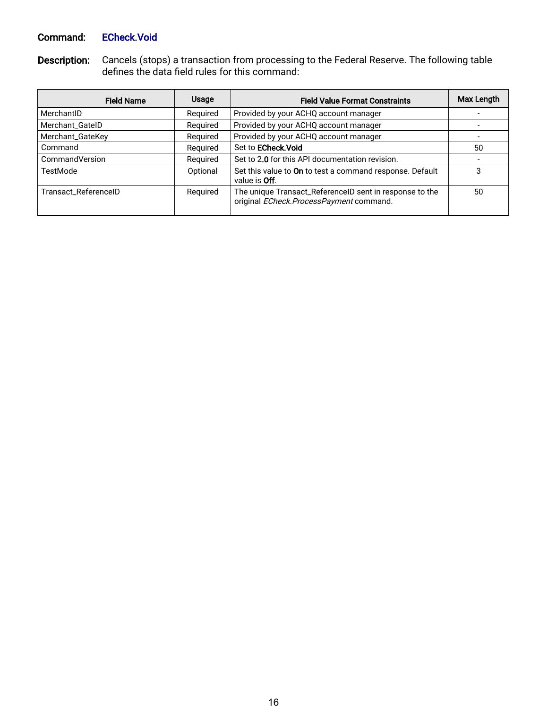## Command: ECheck.Void

Description: Cancels (stops) a transaction from processing to the Federal Reserve. The following table defines the data field rules for this command:

| <b>Field Name</b>    | <b>Usage</b> | <b>Field Value Format Constraints</b>                                                              | Max Length |
|----------------------|--------------|----------------------------------------------------------------------------------------------------|------------|
| MerchantID           | Required     | Provided by your ACHQ account manager                                                              |            |
| Merchant_GateID      | Required     | Provided by your ACHQ account manager                                                              |            |
| Merchant_GateKey     | Required     | Provided by your ACHQ account manager                                                              |            |
| Command              | Reguired     | Set to <b>ECheck. Void</b>                                                                         | 50         |
| CommandVersion       | Reguired     | Set to 2.0 for this API documentation revision.                                                    |            |
| TestMode             | Optional     | Set this value to On to test a command response. Default<br>value is <b>Off</b> .                  | 3          |
| Transact_ReferenceID | Required     | The unique Transact_ReferenceID sent in response to the<br>original ECheck.ProcessPayment command. | 50         |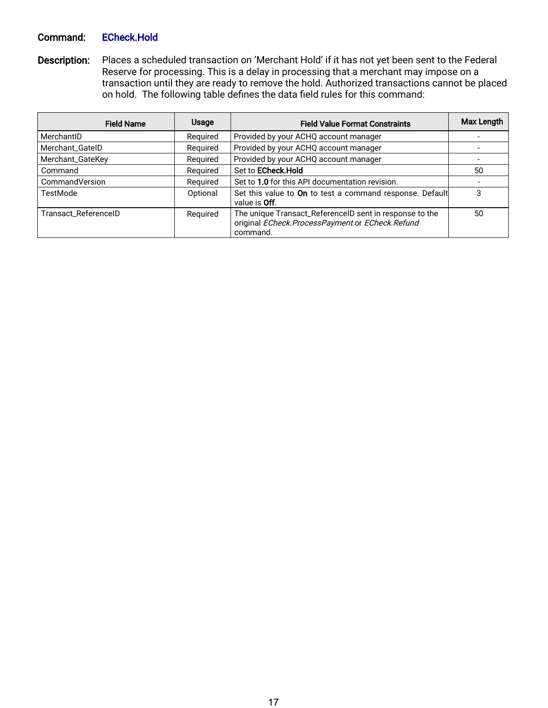### Command: ECheck.Hold

Description: Places a scheduled transaction on 'Merchant Hold' if it has not yet been sent to the Federal Reserve for processing. This is a delay in processing that a merchant may impose on a transaction until they are ready to remove the hold. Authorized transactions cannot be placed on hold. The following table defines the data field rules for this command:

| <b>Field Name</b>    | Usage    | <b>Field Value Format Constraints</b>                                                                                  | Max Length |
|----------------------|----------|------------------------------------------------------------------------------------------------------------------------|------------|
| MerchantID           | Reguired | Provided by your ACHQ account manager                                                                                  |            |
| Merchant_GateID      | Required | Provided by your ACHQ account manager                                                                                  |            |
| Merchant_GateKey     | Required | Provided by your ACHQ account manager                                                                                  |            |
| Command              | Required | Set to ECheck.Hold                                                                                                     | 50         |
| CommandVersion       | Reguired | Set to 1.0 for this API documentation revision.                                                                        |            |
| TestMode             | Optional | Set this value to On to test a command response. Default<br>value is <b>Off</b> .                                      | 3          |
| Transact_ReferenceID | Reguired | The unique Transact_ReferenceID sent in response to the<br>original ECheck.ProcessPayment or ECheck.Refund<br>command. | 50         |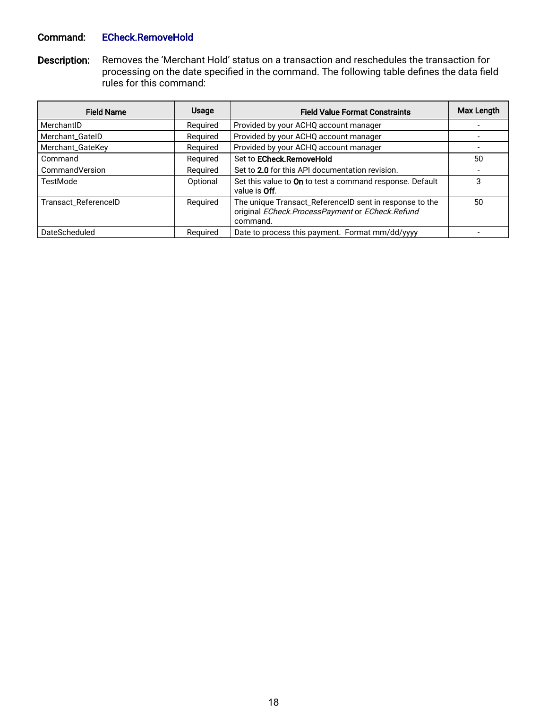### Command: ECheck.RemoveHold

Description: Removes the 'Merchant Hold' status on a transaction and reschedules the transaction for processing on the date specified in the command. The following table defines the data field rules for this command:

| <b>Field Name</b>    | <b>Usage</b> | <b>Field Value Format Constraints</b>                                                                                  | Max Length |
|----------------------|--------------|------------------------------------------------------------------------------------------------------------------------|------------|
| MerchantID           | Required     | Provided by your ACHQ account manager                                                                                  |            |
| Merchant_GateID      | Required     | Provided by your ACHQ account manager                                                                                  |            |
| Merchant_GateKey     | Required     | Provided by your ACHQ account manager                                                                                  |            |
| Command              | Required     | Set to ECheck.RemoveHold                                                                                               | 50         |
| CommandVersion       | Reguired     | Set to 2.0 for this API documentation revision.                                                                        |            |
| TestMode             | Optional     | Set this value to On to test a command response. Default<br>value is <b>Off</b> .                                      | 3          |
| Transact_ReferenceID | Required     | The unique Transact_ReferenceID sent in response to the<br>original ECheck.ProcessPayment or ECheck.Refund<br>command. | 50         |
| DateScheduled        | Required     | Date to process this payment. Format mm/dd/yyyy                                                                        |            |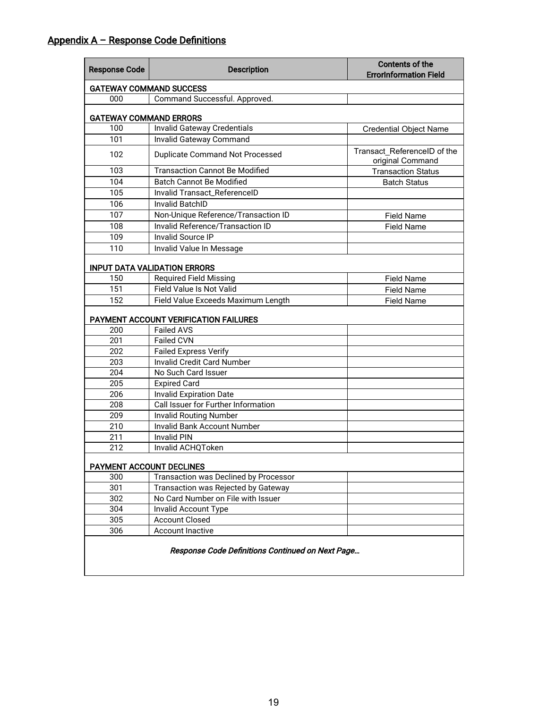| <b>Response Code</b>           | <b>Description</b>                               | <b>Contents of the</b><br><b>ErrorInformation Field</b> |  |  |  |  |
|--------------------------------|--------------------------------------------------|---------------------------------------------------------|--|--|--|--|
| <b>GATEWAY COMMAND SUCCESS</b> |                                                  |                                                         |  |  |  |  |
| 000                            | Command Successful. Approved.                    |                                                         |  |  |  |  |
| <b>GATEWAY COMMAND ERRORS</b>  |                                                  |                                                         |  |  |  |  |
| 100                            | <b>Invalid Gateway Credentials</b>               | <b>Credential Object Name</b>                           |  |  |  |  |
| 101                            | Invalid Gateway Command                          |                                                         |  |  |  |  |
| 102                            | <b>Duplicate Command Not Processed</b>           | Transact ReferenceID of the<br>original Command         |  |  |  |  |
| 103                            | <b>Transaction Cannot Be Modified</b>            | <b>Transaction Status</b>                               |  |  |  |  |
| 104                            | <b>Batch Cannot Be Modified</b>                  | <b>Batch Status</b>                                     |  |  |  |  |
| 105                            | Invalid Transact_ReferenceID                     |                                                         |  |  |  |  |
| 106                            | <b>Invalid BatchID</b>                           |                                                         |  |  |  |  |
| 107                            | Non-Unique Reference/Transaction ID              | <b>Field Name</b>                                       |  |  |  |  |
| 108                            | Invalid Reference/Transaction ID                 | <b>Field Name</b>                                       |  |  |  |  |
| 109                            | <b>Invalid Source IP</b>                         |                                                         |  |  |  |  |
| 110                            | Invalid Value In Message                         |                                                         |  |  |  |  |
|                                | <b>INPUT DATA VALIDATION ERRORS</b>              |                                                         |  |  |  |  |
| 150                            | <b>Required Field Missing</b>                    | <b>Field Name</b>                                       |  |  |  |  |
| 151                            | Field Value Is Not Valid                         | <b>Field Name</b>                                       |  |  |  |  |
| 152                            | Field Value Exceeds Maximum Length               | <b>Field Name</b>                                       |  |  |  |  |
|                                | PAYMENT ACCOUNT VERIFICATION FAILURES            |                                                         |  |  |  |  |
| 200                            | <b>Failed AVS</b>                                |                                                         |  |  |  |  |
| 201                            | <b>Failed CVN</b>                                |                                                         |  |  |  |  |
| 202                            | <b>Failed Express Verify</b>                     |                                                         |  |  |  |  |
| 203                            | <b>Invalid Credit Card Number</b>                |                                                         |  |  |  |  |
| 204                            | No Such Card Issuer                              |                                                         |  |  |  |  |
| 205                            | <b>Expired Card</b>                              |                                                         |  |  |  |  |
| 206                            | <b>Invalid Expiration Date</b>                   |                                                         |  |  |  |  |
| 208                            | Call Issuer for Further Information              |                                                         |  |  |  |  |
| 209                            | <b>Invalid Routing Number</b>                    |                                                         |  |  |  |  |
| 210                            | Invalid Bank Account Number                      |                                                         |  |  |  |  |
| 211                            | <b>Invalid PIN</b>                               |                                                         |  |  |  |  |
| 212                            | Invalid ACHQToken                                |                                                         |  |  |  |  |
| PAYMENT ACCOUNT DECLINES       |                                                  |                                                         |  |  |  |  |
| 300                            | Transaction was Declined by Processor            |                                                         |  |  |  |  |
| 301                            | Transaction was Rejected by Gateway              |                                                         |  |  |  |  |
| 302                            | No Card Number on File with Issuer               |                                                         |  |  |  |  |
| 304                            | <b>Invalid Account Type</b>                      |                                                         |  |  |  |  |
| 305                            | <b>Account Closed</b>                            |                                                         |  |  |  |  |
| 306                            | <b>Account Inactive</b>                          |                                                         |  |  |  |  |
|                                | Response Code Definitions Continued on Next Page |                                                         |  |  |  |  |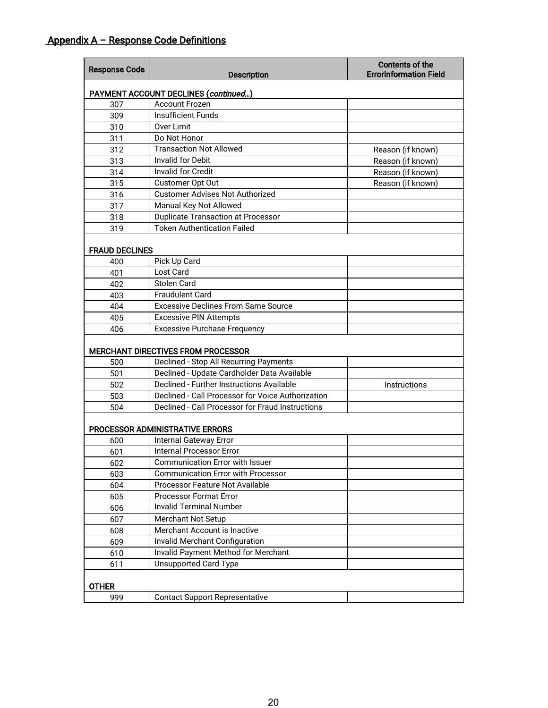| <b>Response Code</b>  | <b>Description</b>                                        | <b>Contents of the</b><br><b>ErrorInformation Field</b> |  |
|-----------------------|-----------------------------------------------------------|---------------------------------------------------------|--|
|                       | PAYMENT ACCOUNT DECLINES (continued)                      |                                                         |  |
| 307                   | <b>Account Frozen</b>                                     |                                                         |  |
| 309                   | <b>Insufficient Funds</b>                                 |                                                         |  |
| 310                   | <b>Over Limit</b>                                         |                                                         |  |
| 311                   | Do Not Honor                                              |                                                         |  |
| 312                   | <b>Transaction Not Allowed</b>                            | Reason (if known)                                       |  |
| 313                   | <b>Invalid for Debit</b>                                  | Reason (if known)                                       |  |
| 314                   | <b>Invalid for Credit</b>                                 | Reason (if known)                                       |  |
| 315                   | Customer Opt Out                                          | Reason (if known)                                       |  |
| 316                   | <b>Customer Advises Not Authorized</b>                    |                                                         |  |
| 317                   | Manual Key Not Allowed                                    |                                                         |  |
| 318                   | <b>Duplicate Transaction at Processor</b>                 |                                                         |  |
| 319                   | <b>Token Authentication Failed</b>                        |                                                         |  |
| <b>FRAUD DECLINES</b> |                                                           |                                                         |  |
| 400                   | Pick Up Card                                              |                                                         |  |
| 401                   | Lost Card                                                 |                                                         |  |
| 402                   | <b>Stolen Card</b>                                        |                                                         |  |
| 403                   | <b>Fraudulent Card</b>                                    |                                                         |  |
| 404                   | <b>Excessive Declines From Same Source</b>                |                                                         |  |
| 405                   | <b>Excessive PIN Attempts</b>                             |                                                         |  |
| 406                   | <b>Excessive Purchase Frequency</b>                       |                                                         |  |
|                       | <b>MERCHANT DIRECTIVES FROM PROCESSOR</b>                 |                                                         |  |
| 500                   | Declined - Stop All Recurring Payments                    |                                                         |  |
| 501                   | Declined - Update Cardholder Data Available               |                                                         |  |
| 502                   | Declined - Further Instructions Available<br>Instructions |                                                         |  |
| 503                   | Declined - Call Processor for Voice Authorization         |                                                         |  |
| 504                   | Declined - Call Processor for Fraud Instructions          |                                                         |  |
|                       | PROCESSOR ADMINISTRATIVE ERRORS                           |                                                         |  |
| 600                   | <b>Internal Gateway Error</b>                             |                                                         |  |
| 601                   | Internal Processor Error                                  |                                                         |  |
| 602                   | Communication Error with Issuer                           |                                                         |  |
| 603                   | <b>Communication Error with Processor</b>                 |                                                         |  |
| 604                   | Processor Feature Not Available                           |                                                         |  |
| 605                   | <b>Processor Format Error</b>                             |                                                         |  |
| 606                   | <b>Invalid Terminal Number</b>                            |                                                         |  |
| 607                   | Merchant Not Setup                                        |                                                         |  |
| 608                   | Merchant Account is Inactive                              |                                                         |  |
| 609                   | Invalid Merchant Configuration                            |                                                         |  |
| 610                   | Invalid Payment Method for Merchant                       |                                                         |  |
| 611                   | Unsupported Card Type                                     |                                                         |  |
| OTHER                 |                                                           |                                                         |  |
| 999                   | <b>Contact Support Representative</b>                     |                                                         |  |
|                       |                                                           |                                                         |  |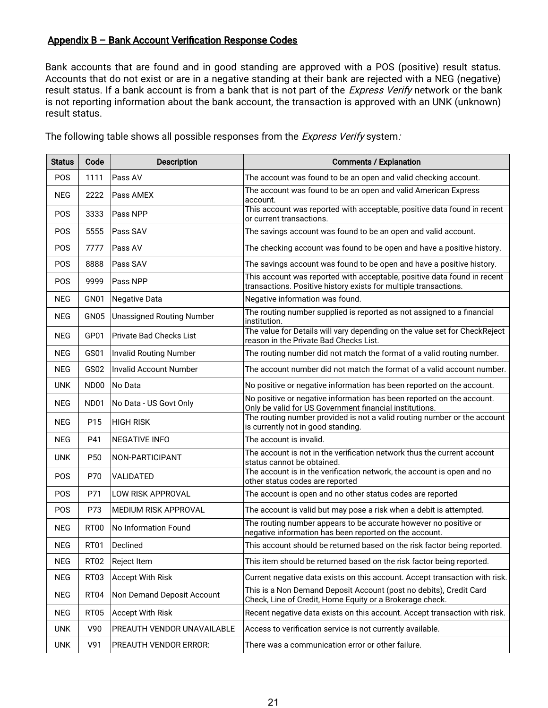### Appendix B – Bank Account Verification Response Codes

Bank accounts that are found and in good standing are approved with a POS (positive) result status. Accounts that do not exist or are in a negative standing at their bank are rejected with a NEG (negative) result status. If a bank account is from a bank that is not part of the *Express Verify* network or the bank is not reporting information about the bank account, the transaction is approved with an UNK (unknown) result status.

| <b>Status</b> | Code            | <b>Description</b>               | <b>Comments / Explanation</b>                                                                                                                |
|---------------|-----------------|----------------------------------|----------------------------------------------------------------------------------------------------------------------------------------------|
| <b>POS</b>    | 1111            | Pass AV                          | The account was found to be an open and valid checking account.                                                                              |
| <b>NEG</b>    | 2222            | Pass AMEX                        | The account was found to be an open and valid American Express<br>account.                                                                   |
| POS           | 3333            | Pass NPP                         | This account was reported with acceptable, positive data found in recent<br>or current transactions.                                         |
| POS           | 5555            | Pass SAV                         | The savings account was found to be an open and valid account.                                                                               |
| POS           | 7777            | Pass AV                          | The checking account was found to be open and have a positive history.                                                                       |
| <b>POS</b>    | 8888            | Pass SAV                         | The savings account was found to be open and have a positive history.                                                                        |
| <b>POS</b>    | 9999            | Pass NPP                         | This account was reported with acceptable, positive data found in recent<br>transactions. Positive history exists for multiple transactions. |
| <b>NEG</b>    | GN01            | <b>Negative Data</b>             | Negative information was found.                                                                                                              |
| <b>NEG</b>    | GN05            | <b>Unassigned Routing Number</b> | The routing number supplied is reported as not assigned to a financial<br>institution.                                                       |
| <b>NEG</b>    | GP01            | <b>Private Bad Checks List</b>   | The value for Details will vary depending on the value set for CheckReject<br>reason in the Private Bad Checks List.                         |
| <b>NEG</b>    | GS01            | <b>Invalid Routing Number</b>    | The routing number did not match the format of a valid routing number.                                                                       |
| <b>NEG</b>    | GS02            | <b>Invalid Account Number</b>    | The account number did not match the format of a valid account number.                                                                       |
| <b>UNK</b>    | <b>ND00</b>     | No Data                          | No positive or negative information has been reported on the account.                                                                        |
| <b>NEG</b>    | <b>ND01</b>     | No Data - US Govt Only           | No positive or negative information has been reported on the account.<br>Only be valid for US Government financial institutions.             |
| <b>NEG</b>    | P15             | <b>HIGH RISK</b>                 | The routing number provided is not a valid routing number or the account<br>is currently not in good standing.                               |
| <b>NEG</b>    | P41             | <b>NEGATIVE INFO</b>             | The account is invalid.                                                                                                                      |
| <b>UNK</b>    | P <sub>50</sub> | NON-PARTICIPANT                  | The account is not in the verification network thus the current account<br>status cannot be obtained.                                        |
| POS           | P70             | VALIDATED                        | The account is in the verification network, the account is open and no<br>other status codes are reported                                    |
| POS           | P71             | LOW RISK APPROVAL                | The account is open and no other status codes are reported                                                                                   |
| POS           | P73             | MEDIUM RISK APPROVAL             | The account is valid but may pose a risk when a debit is attempted.                                                                          |
| <b>NEG</b>    | <b>RT00</b>     | No Information Found             | The routing number appears to be accurate however no positive or<br>negative information has been reported on the account.                   |
| <b>NEG</b>    | RT01            | Declined                         | This account should be returned based on the risk factor being reported.                                                                     |
| <b>NEG</b>    | <b>RT02</b>     | Reject Item                      | This item should be returned based on the risk factor being reported.                                                                        |
| <b>NEG</b>    | RT03            | <b>Accept With Risk</b>          | Current negative data exists on this account. Accept transaction with risk.                                                                  |
| <b>NEG</b>    | RT04            | Non Demand Deposit Account       | This is a Non Demand Deposit Account (post no debits), Credit Card<br>Check, Line of Credit, Home Equity or a Brokerage check.               |
| <b>NEG</b>    | <b>RT05</b>     | <b>Accept With Risk</b>          | Recent negative data exists on this account. Accept transaction with risk.                                                                   |
| <b>UNK</b>    | V90             | PREAUTH VENDOR UNAVAILABLE       | Access to verification service is not currently available.                                                                                   |
| <b>UNK</b>    | V91             | PREAUTH VENDOR ERROR:            | There was a communication error or other failure.                                                                                            |

The following table shows all possible responses from the Express Verify system: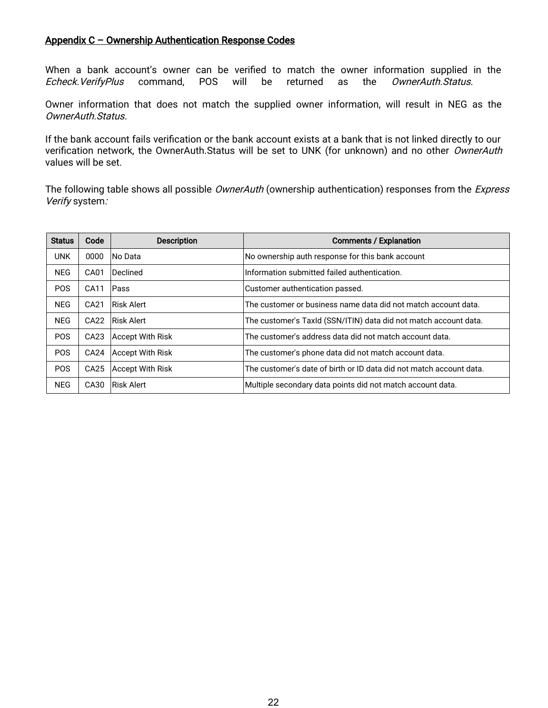### Appendix C – Ownership Authentication Response Codes

When a bank account's owner can be verified to match the owner information supplied in the Echeck.VerifyPlus command, POS will be returned as the OwnerAuth.Status.

Owner information that does not match the supplied owner information, will result in NEG as the OwnerAuth.Status.

If the bank account fails verification or the bank account exists at a bank that is not linked directly to our verification network, the OwnerAuth.Status will be set to UNK (for unknown) and no other OwnerAuth values will be set.

The following table shows all possible OwnerAuth (ownership authentication) responses from the Express Verify system:

| <b>Status</b> | Code             | <b>Description</b>      | <b>Comments / Explanation</b>                                       |
|---------------|------------------|-------------------------|---------------------------------------------------------------------|
| <b>UNK</b>    | 0000             | No Data                 | No ownership auth response for this bank account                    |
| <b>NEG</b>    | CA01             | Declined                | Information submitted failed authentication.                        |
| <b>POS</b>    | CA11             | Pass                    | Customer authentication passed.                                     |
| <b>NEG</b>    | CA21             | Risk Alert              | The customer or business name data did not match account data.      |
| <b>NEG</b>    | CA22             | Risk Alert              | The customer's Taxid (SSN/ITIN) data did not match account data.    |
| <b>POS</b>    | CA <sub>23</sub> | <b>Accept With Risk</b> | The customer's address data did not match account data.             |
| <b>POS</b>    | CA <sub>24</sub> | Accept With Risk        | The customer's phone data did not match account data.               |
| <b>POS</b>    | CA <sub>25</sub> | Accept With Risk        | The customer's date of birth or ID data did not match account data. |
| <b>NEG</b>    | CA30             | Risk Alert              | Multiple secondary data points did not match account data.          |